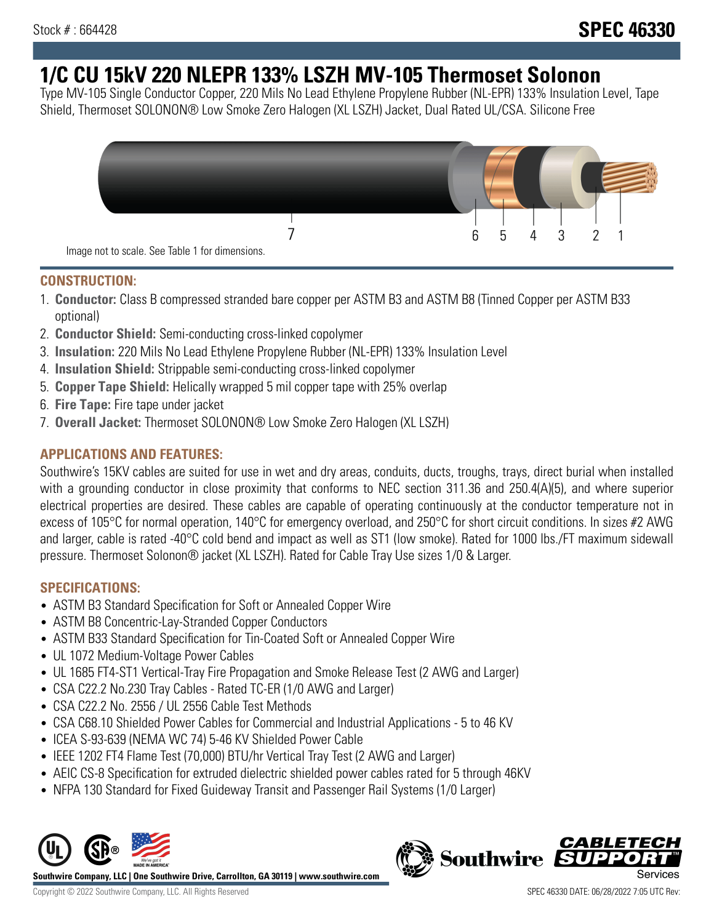# **1/C CU 15kV 220 NLEPR 133% LSZH MV-105 Thermoset Solonon**

Type MV-105 Single Conductor Copper, 220 Mils No Lead Ethylene Propylene Rubber (NL-EPR) 133% Insulation Level, Tape Shield, Thermoset SOLONON® Low Smoke Zero Halogen (XL LSZH) Jacket, Dual Rated UL/CSA. Silicone Free



#### **CONSTRUCTION:**

- 1. **Conductor:** Class B compressed stranded bare copper per ASTM B3 and ASTM B8 (Tinned Copper per ASTM B33 optional)
- 2. **Conductor Shield:** Semi-conducting cross-linked copolymer
- 3. **Insulation:** 220 Mils No Lead Ethylene Propylene Rubber (NL-EPR) 133% Insulation Level
- 4. **Insulation Shield:** Strippable semi-conducting cross-linked copolymer
- 5. **Copper Tape Shield:** Helically wrapped 5 mil copper tape with 25% overlap
- 6. **Fire Tape:** Fire tape under jacket
- 7. **Overall Jacket:** Thermoset SOLONON® Low Smoke Zero Halogen (XL LSZH)

## **APPLICATIONS AND FEATURES:**

Southwire's 15KV cables are suited for use in wet and dry areas, conduits, ducts, troughs, trays, direct burial when installed with a grounding conductor in close proximity that conforms to NEC section 311.36 and 250.4(A)(5), and where superior electrical properties are desired. These cables are capable of operating continuously at the conductor temperature not in excess of 105°C for normal operation, 140°C for emergency overload, and 250°C for short circuit conditions. In sizes #2 AWG and larger, cable is rated -40°C cold bend and impact as well as ST1 (low smoke). Rated for 1000 lbs./FT maximum sidewall pressure. Thermoset Solonon® jacket (XL LSZH). Rated for Cable Tray Use sizes 1/0 & Larger.

### **SPECIFICATIONS:**

- ASTM B3 Standard Specification for Soft or Annealed Copper Wire
- ASTM B8 Concentric-Lay-Stranded Copper Conductors
- ASTM B33 Standard Specification for Tin-Coated Soft or Annealed Copper Wire
- UL 1072 Medium-Voltage Power Cables
- UL 1685 FT4-ST1 Vertical-Tray Fire Propagation and Smoke Release Test (2 AWG and Larger)
- CSA C22.2 No.230 Tray Cables Rated TC-ER (1/0 AWG and Larger)
- CSA C22.2 No. 2556 / UL 2556 Cable Test Methods
- CSA C68.10 Shielded Power Cables for Commercial and Industrial Applications 5 to 46 KV
- ICEA S-93-639 (NEMA WC 74) 5-46 KV Shielded Power Cable
- IEEE 1202 FT4 Flame Test (70,000) BTU/hr Vertical Tray Test (2 AWG and Larger)
- AEIC CS-8 Specification for extruded dielectric shielded power cables rated for 5 through 46KV
- NFPA 130 Standard for Fixed Guideway Transit and Passenger Rail Systems (1/0 Larger)



**Southwire Company, LLC | One Southwire Drive, Carrollton, GA 30119 | www.southwire.com**